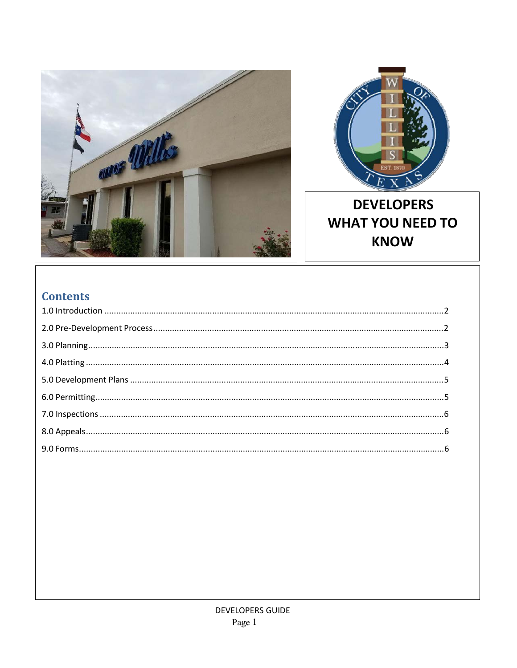



# **DEVELOPERS WHAT YOU NEED TO KNOW**

# **Contents**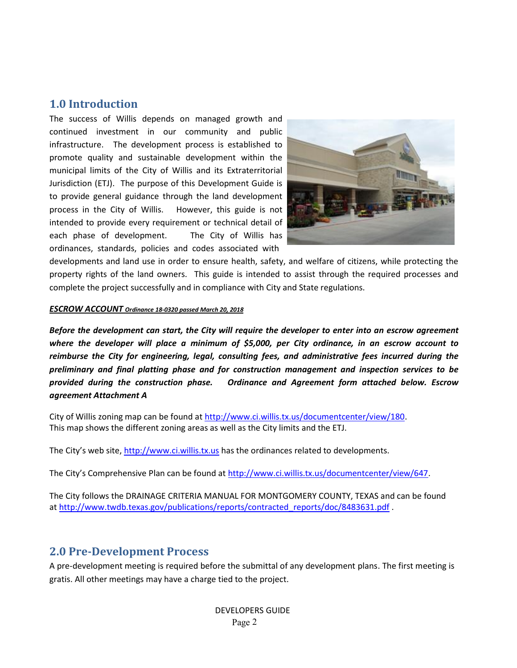### **1.0 Introduction**

The success of Willis depends on managed growth and continued investment in our community and public infrastructure. The development process is established to promote quality and sustainable development within the municipal limits of the City of Willis and its Extraterritorial Jurisdiction (ETJ). The purpose of this Development Guide is to provide general guidance through the land development process in the City of Willis. However, this guide is not intended to provide every requirement or technical detail of each phase of development. The City of Willis has ordinances, standards, policies and codes associated with



developments and land use in order to ensure health, safety, and welfare of citizens, while protecting the property rights of the land owners. This guide is intended to assist through the required processes and complete the project successfully and in compliance with City and State regulations.

#### *ESCROW ACCOUNT Ordinance 18‐0320 passed March 20, 2018*

*Before the development can start, the City will require the developer to enter into an escrow agreement where the developer will place a minimum of \$5,000, per City ordinance, in an escrow account to reimburse the City for engineering, legal, consulting fees, and administrative fees incurred during the preliminary and final platting phase and for construction management and inspection services to be provided during the construction phase. Ordinance and Agreement form attached below. Escrow agreement Attachment A*

City of Willis zoning map can be found at http://www.ci.willis.tx.us/documentcenter/view/180. This map shows the different zoning areas as well as the City limits and the ETJ.

The City's web site, http://www.ci.willis.tx.us has the ordinances related to developments.

The City's Comprehensive Plan can be found at http://www.ci.willis.tx.us/documentcenter/view/647.

The City follows the DRAINAGE CRITERIA MANUAL FOR MONTGOMERY COUNTY, TEXAS and can be found at http://www.twdb.texas.gov/publications/reports/contracted\_reports/doc/8483631.pdf .

## **2.0 Pre‐Development Process**

A pre‐development meeting is required before the submittal of any development plans. The first meeting is gratis. All other meetings may have a charge tied to the project.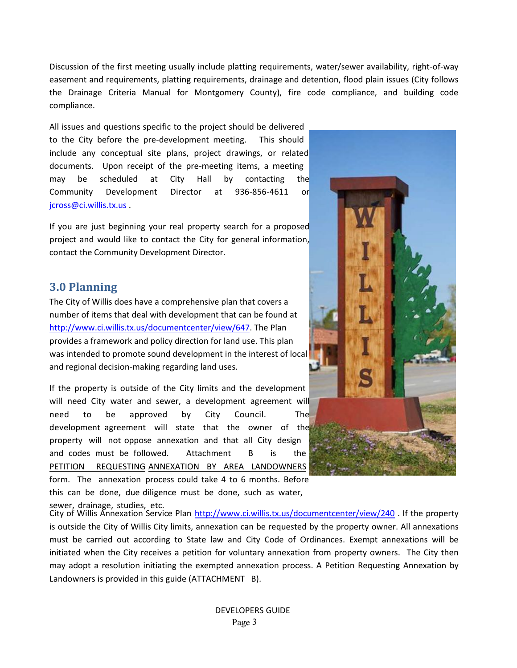Discussion of the first meeting usually include platting requirements, water/sewer availability, right‐of‐way easement and requirements, platting requirements, drainage and detention, flood plain issues (City follows the Drainage Criteria Manual for Montgomery County), fire code compliance, and building code compliance.

All issues and questions specific to the project should be delivered to the City before the pre‐development meeting. This should include any conceptual site plans, project drawings, or related documents. Upon receipt of the pre-meeting items, a meeting may be scheduled at City Hall by contacting the Community Development Director at 936‐856‐4611 or jcross@ci.willis.tx.us .

If you are just beginning your real property search for a proposed project and would like to contact the City for general information, contact the Community Development Director.

### **3.0 Planning**

The City of Willis does have a comprehensive plan that covers a number of items that deal with development that can be found at http://www.ci.willis.tx.us/documentcenter/view/647. The Plan provides a framework and policy direction for land use. This plan was intended to promote sound development in the interest of local and regional decision‐making regarding land uses.

If the property is outside of the City limits and the development will need City water and sewer, a development agreement will need to be approved by City Council. The development agreement will state that the owner of the property will not oppose annexation and that all City design and codes must be followed. Attachment B is the PETITION REQUESTING ANNEXATION BY AREA LANDOWNERS form. The annexation process could take 4 to 6 months. Before this can be done, due diligence must be done, such as water,



sewer, drainage, studies, etc. City of Willis Annexation Service Plan http://www.ci.willis.tx.us/documentcenter/view/240. If the property is outside the City of Willis City limits, annexation can be requested by the property owner. All annexations must be carried out according to State law and City Code of Ordinances. Exempt annexations will be initiated when the City receives a petition for voluntary annexation from property owners. The City then may adopt a resolution initiating the exempted annexation process. A Petition Requesting Annexation by Landowners is provided in this guide (ATTACHMENT B).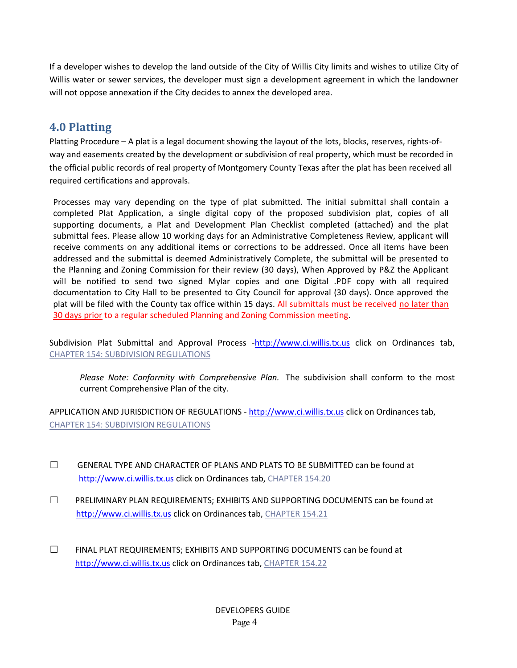If a developer wishes to develop the land outside of the City of Willis City limits and wishes to utilize City of Willis water or sewer services, the developer must sign a development agreement in which the landowner will not oppose annexation if the City decides to annex the developed area.

## **4.0 Platting**

Platting Procedure – A plat is a legal document showing the layout of the lots, blocks, reserves, rights‐of‐ way and easements created by the development or subdivision of real property, which must be recorded in the official public records of real property of Montgomery County Texas after the plat has been received all required certifications and approvals.

Processes may vary depending on the type of plat submitted. The initial submittal shall contain a completed Plat Application, a single digital copy of the proposed subdivision plat, copies of all supporting documents, a Plat and Development Plan Checklist completed (attached) and the plat submittal fees. Please allow 10 working days for an Administrative Completeness Review, applicant will receive comments on any additional items or corrections to be addressed. Once all items have been addressed and the submittal is deemed Administratively Complete, the submittal will be presented to the Planning and Zoning Commission for their review (30 days), When Approved by P&Z the Applicant will be notified to send two signed Mylar copies and one Digital .PDF copy with all required documentation to City Hall to be presented to City Council for approval (30 days). Once approved the plat will be filed with the County tax office within 15 days. All submittals must be received no later than 30 days prior to a regular scheduled Planning and Zoning Commission meeting.

Subdivision Plat Submittal and Approval Process -http://www.ci.willis.tx.us click on Ordinances tab, CHAPTER 154: SUBDIVISION REGULATIONS

*Please Note: Conformity with Comprehensive Plan. The subdivision shall conform to the most* current Comprehensive Plan of the city.

APPLICATION AND JURISDICTION OF REGULATIONS - http://www.ci.willis.tx.us click on Ordinances tab, CHAPTER 154: SUBDIVISION REGULATIONS

- $\Box$  GENERAL TYPE AND CHARACTER OF PLANS AND PLATS TO BE SUBMITTED can be found at http://www.ci.willis.tx.us click on Ordinances tab, CHAPTER 154.20
- ☐ PRELIMINARY PLAN REQUIREMENTS; EXHIBITS AND SUPPORTING DOCUMENTS can be found at http://www.ci.willis.tx.us click on Ordinances tab, CHAPTER 154.21
- ☐ FINAL PLAT REQUIREMENTS; EXHIBITS AND SUPPORTING DOCUMENTS can be found at http://www.ci.willis.tx.us click on Ordinances tab, CHAPTER 154.22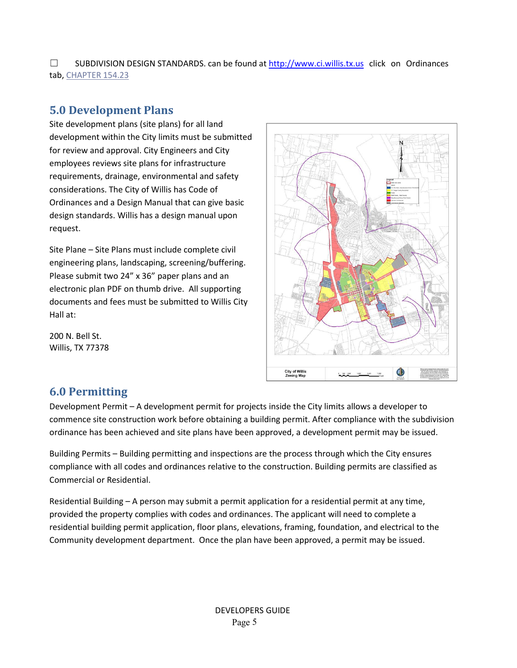$\square$  SUBDIVISION DESIGN STANDARDS. can be found at http://www.ci.willis.tx.us click on Ordinances tab, CHAPTER 154.23

## **5.0 Development Plans**

Site development plans (site plans) for all land development within the City limits must be submitted for review and approval. City Engineers and City employees reviews site plans for infrastructure requirements, drainage, environmental and safety considerations. The City of Willis has Code of Ordinances and a Design Manual that can give basic design standards. Willis has a design manual upon request.

Site Plane – Site Plans must include complete civil engineering plans, landscaping, screening/buffering. Please submit two 24" x 36" paper plans and an electronic plan PDF on thumb drive. All supporting documents and fees must be submitted to Willis City Hall at:

200 N. Bell St. Willis, TX 77378



## **6.0 Permitting**

Development Permit – A development permit for projects inside the City limits allows a developer to commence site construction work before obtaining a building permit. After compliance with the subdivision ordinance has been achieved and site plans have been approved, a development permit may be issued.

Building Permits – Building permitting and inspections are the process through which the City ensures compliance with all codes and ordinances relative to the construction. Building permits are classified as Commercial or Residential.

Residential Building – A person may submit a permit application for a residential permit at any time, provided the property complies with codes and ordinances. The applicant will need to complete a residential building permit application, floor plans, elevations, framing, foundation, and electrical to the Community development department. Once the plan have been approved, a permit may be issued.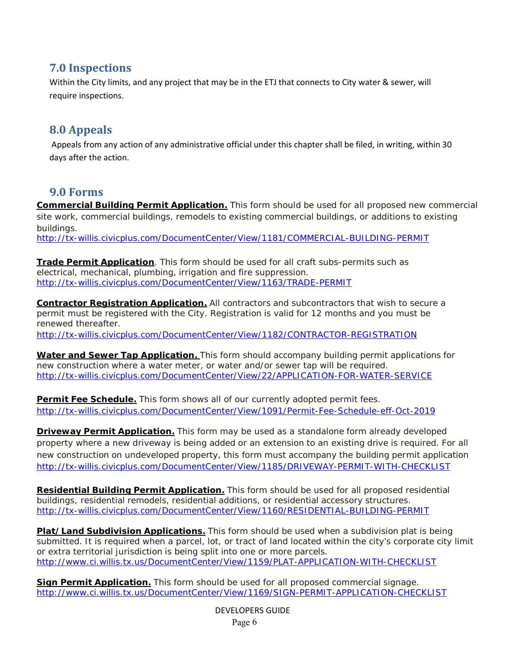## **7.0 Inspections**

Within the City limits, and any project that may be in the ETJ that connects to City water & sewer, will require inspections.

## **8.0 Appeals**

Appeals from any action of any administrative official under this chapter shall be filed, in writing, within 30 days after the action.

## **9.0 Forms**

**Commercial Building Permit Application.** This form should be used for all proposed new commercial site work, commercial buildings, remodels to existing commercial buildings, or additions to existing buildings.

http://tx-willis.civicplus.com/DocumentCenter/View/1181/COMMERCIAL-BUILDING-PERMIT

**Trade Permit Application**. This form should be used for all craft subs-permits such as electrical, mechanical, plumbing, irrigation and fire suppression. http://tx-willis.civicplus.com/DocumentCenter/View/1163/TRADE-PERMIT

**Contractor Registration Application.** All contractors and subcontractors that wish to secure a permit must be registered with the City. Registration is valid for 12 months and you must be renewed thereafter.

http://tx-willis.civicplus.com/DocumentCenter/View/1182/CONTRACTOR-REGISTRATION

**Water and Sewer Tap Application.** This form should accompany building permit applications for new construction where a water meter, or water and/or sewer tap will be required. http://tx-willis.civicplus.com/DocumentCenter/View/22/APPLICATION-FOR-WATER-SERVICE

**Permit Fee Schedule.** This form shows all of our currently adopted permit fees. http://tx-willis.civicplus.com/DocumentCenter/View/1091/Permit-Fee-Schedule-eff-Oct-2019

**Driveway Permit Application.** This form may be used as a standalone form already developed property where a new driveway is being added or an extension to an existing drive is required. For all new construction on undeveloped property, this form must accompany the building permit application http://tx-willis.civicplus.com/DocumentCenter/View/1185/DRIVEWAY-PERMIT-WITH-CHECKLIST

**Residential Building Permit Application.** This form should be used for all proposed residential buildings, residential remodels, residential additions, or residential accessory structures. http://tx-willis.civicplus.com/DocumentCenter/View/1160/RESIDENTIAL-BUILDING-PERMIT

**Plat/Land Subdivision Applications.** This form should be used when a subdivision plat is being submitted. It is required when a parcel, lot, or tract of land located within the city's corporate city limit or extra territorial jurisdiction is being split into one or more parcels. http://www.ci.willis.tx.us/DocumentCenter/View/1159/PLAT-APPLICATION-WITH-CHECKLIST

**Sign Permit Application.** This form should be used for all proposed commercial signage. http://www.ci.willis.tx.us/DocumentCenter/View/1169/SIGN-PERMIT-APPLICATION-CHECKLIST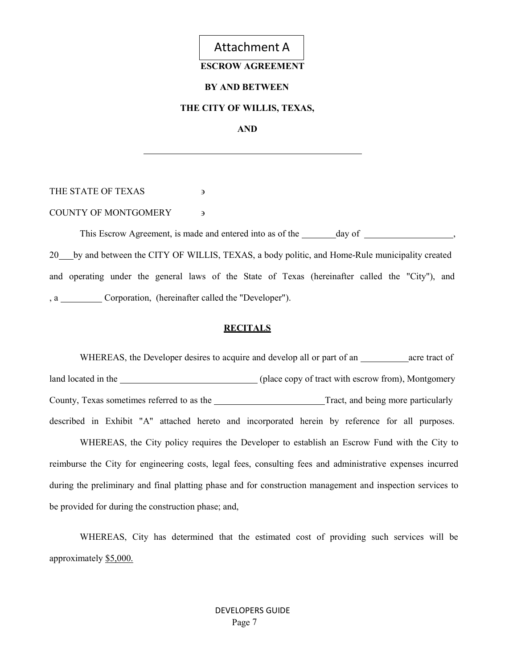

#### **ESCROW AGREEMENT**

#### **BY AND BETWEEN**

#### **THE CITY OF WILLIS, TEXAS,**

**AND**

THE STATE OF TEXAS **B** 

COUNTY OF MONTGOMERY and the set of the set of the set of the set of the set of the set of the set of the set o

This Escrow Agreement, is made and entered into as of the day of , 20 by and between the CITY OF WILLIS, TEXAS, a body politic, and Home-Rule municipality created and operating under the general laws of the State of Texas (hereinafter called the "City"), and , a Corporation, (hereinafter called the "Developer").

#### **RECITALS**

WHEREAS, the Developer desires to acquire and develop all or part of an \_\_\_\_\_\_\_\_\_\_ acre tract of land located in the  $\qquad \qquad$  (place copy of tract with escrow from), Montgomery County, Texas sometimes referred to as the Tract, and being more particularly described in Exhibit "A" attached hereto and incorporated herein by reference for all purposes.

WHEREAS, the City policy requires the Developer to establish an Escrow Fund with the City to reimburse the City for engineering costs, legal fees, consulting fees and administrative expenses incurred during the preliminary and final platting phase and for construction management and inspection services to be provided for during the construction phase; and,

WHEREAS, City has determined that the estimated cost of providing such services will be approximately \$5,000.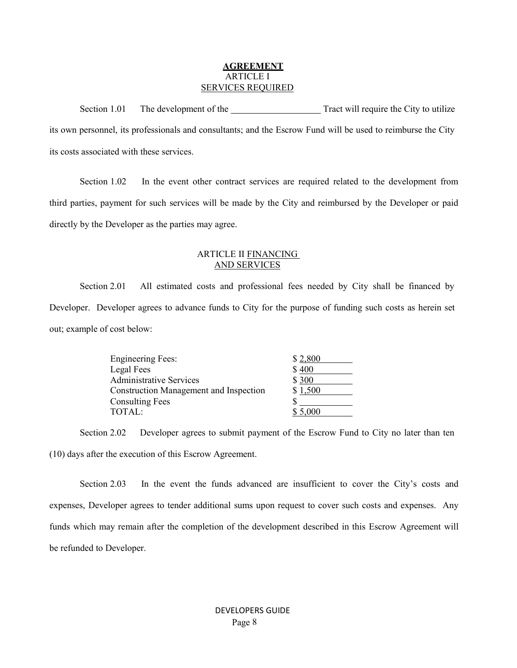#### **AGREEMENT** ARTICLE I SERVICES REQUIRED

Section 1.01 The development of the Tract will require the City to utilize its own personnel, its professionals and consultants; and the Escrow Fund will be used to reimburse the City its costs associated with these services.

Section 1.02 In the event other contract services are required related to the development from third parties, payment for such services will be made by the City and reimbursed by the Developer or paid directly by the Developer as the parties may agree.

#### ARTICLE II FINANCING AND SERVICES

Section 2.01 All estimated costs and professional fees needed by City shall be financed by Developer. Developer agrees to advance funds to City for the purpose of funding such costs as herein set out; example of cost below:

| \$2,800 |
|---------|
| \$400   |
| \$300   |
| \$1,500 |
|         |
| \$5,000 |
|         |

Section 2.02 Developer agrees to submit payment of the Escrow Fund to City no later than ten (10) days after the execution of this Escrow Agreement.

Section 2.03 In the event the funds advanced are insufficient to cover the City's costs and expenses, Developer agrees to tender additional sums upon request to cover such costs and expenses. Any funds which may remain after the completion of the development described in this Escrow Agreement will be refunded to Developer.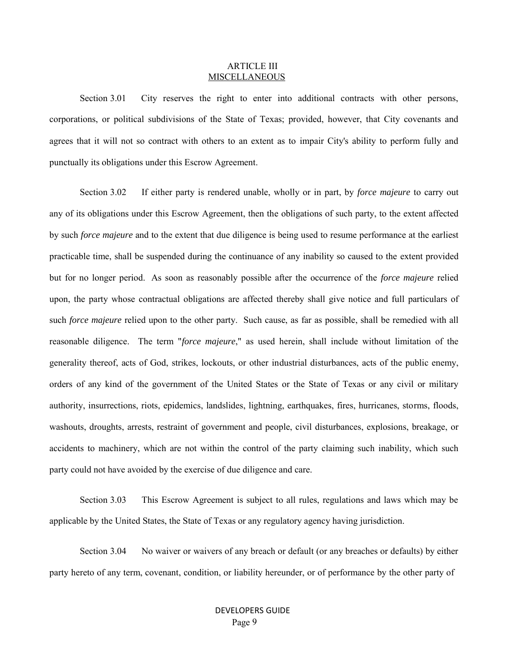#### ARTICLE III MISCELLANEOUS

Section 3.01 City reserves the right to enter into additional contracts with other persons, corporations, or political subdivisions of the State of Texas; provided, however, that City covenants and agrees that it will not so contract with others to an extent as to impair City's ability to perform fully and punctually its obligations under this Escrow Agreement.

Section 3.02 If either party is rendered unable, wholly or in part, by *force majeure* to carry out any of its obligations under this Escrow Agreement, then the obligations of such party, to the extent affected by such *force majeure* and to the extent that due diligence is being used to resume performance at the earliest practicable time, shall be suspended during the continuance of any inability so caused to the extent provided but for no longer period. As soon as reasonably possible after the occurrence of the *force majeure* relied upon, the party whose contractual obligations are affected thereby shall give notice and full particulars of such *force majeure* relied upon to the other party. Such cause, as far as possible, shall be remedied with all reasonable diligence. The term "*force majeure*," as used herein, shall include without limitation of the generality thereof, acts of God, strikes, lockouts, or other industrial disturbances, acts of the public enemy, orders of any kind of the government of the United States or the State of Texas or any civil or military authority, insurrections, riots, epidemics, landslides, lightning, earthquakes, fires, hurricanes, storms, floods, washouts, droughts, arrests, restraint of government and people, civil disturbances, explosions, breakage, or accidents to machinery, which are not within the control of the party claiming such inability, which such party could not have avoided by the exercise of due diligence and care.

Section 3.03 This Escrow Agreement is subject to all rules, regulations and laws which may be applicable by the United States, the State of Texas or any regulatory agency having jurisdiction.

Section 3.04 No waiver or waivers of any breach or default (or any breaches or defaults) by either party hereto of any term, covenant, condition, or liability hereunder, or of performance by the other party of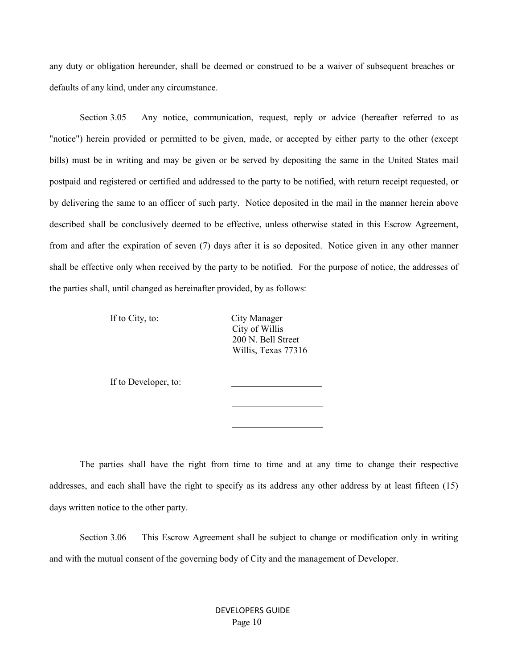any duty or obligation hereunder, shall be deemed or construed to be a waiver of subsequent breaches or defaults of any kind, under any circumstance.

Section 3.05 Any notice, communication, request, reply or advice (hereafter referred to as "notice") herein provided or permitted to be given, made, or accepted by either party to the other (except bills) must be in writing and may be given or be served by depositing the same in the United States mail postpaid and registered or certified and addressed to the party to be notified, with return receipt requested, or by delivering the same to an officer of such party. Notice deposited in the mail in the manner herein above described shall be conclusively deemed to be effective, unless otherwise stated in this Escrow Agreement, from and after the expiration of seven (7) days after it is so deposited. Notice given in any other manner shall be effective only when received by the party to be notified. For the purpose of notice, the addresses of the parties shall, until changed as hereinafter provided, by as follows:

If to City, to: City Manager

City of Willis 200 N. Bell Street Willis, Texas 77316

If to Developer, to:

The parties shall have the right from time to time and at any time to change their respective addresses, and each shall have the right to specify as its address any other address by at least fifteen (15) days written notice to the other party.

Section 3.06 This Escrow Agreement shall be subject to change or modification only in writing and with the mutual consent of the governing body of City and the management of Developer.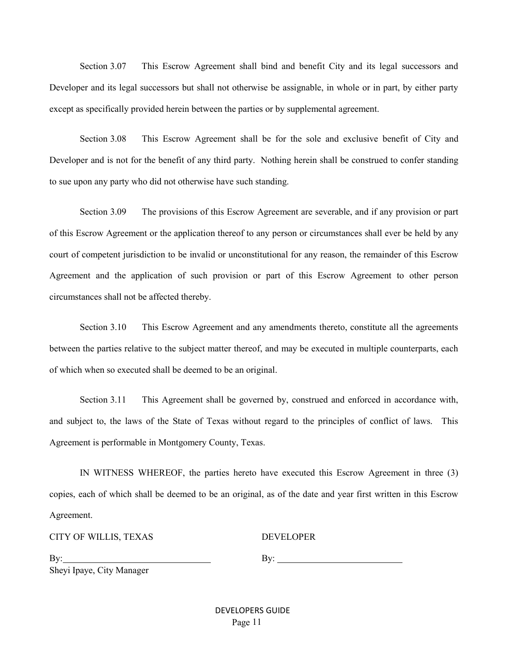Section 3.07 This Escrow Agreement shall bind and benefit City and its legal successors and Developer and its legal successors but shall not otherwise be assignable, in whole or in part, by either party except as specifically provided herein between the parties or by supplemental agreement.

Section 3.08 This Escrow Agreement shall be for the sole and exclusive benefit of City and Developer and is not for the benefit of any third party. Nothing herein shall be construed to confer standing to sue upon any party who did not otherwise have such standing.

Section 3.09 The provisions of this Escrow Agreement are severable, and if any provision or part of this Escrow Agreement or the application thereof to any person or circumstances shall ever be held by any court of competent jurisdiction to be invalid or unconstitutional for any reason, the remainder of this Escrow Agreement and the application of such provision or part of this Escrow Agreement to other person circumstances shall not be affected thereby.

Section 3.10 This Escrow Agreement and any amendments thereto, constitute all the agreements between the parties relative to the subject matter thereof, and may be executed in multiple counterparts, each of which when so executed shall be deemed to be an original.

Section 3.11 This Agreement shall be governed by, construed and enforced in accordance with, and subject to, the laws of the State of Texas without regard to the principles of conflict of laws. This Agreement is performable in Montgomery County, Texas.

IN WITNESS WHEREOF, the parties hereto have executed this Escrow Agreement in three (3) copies, each of which shall be deemed to be an original, as of the date and year first written in this Escrow Agreement.

CITY OF WILLIS, TEXAS

DEVELOPER

By: Sheyi Ipaye, City Manager By:

DEVELOPERS GUIDE Page 11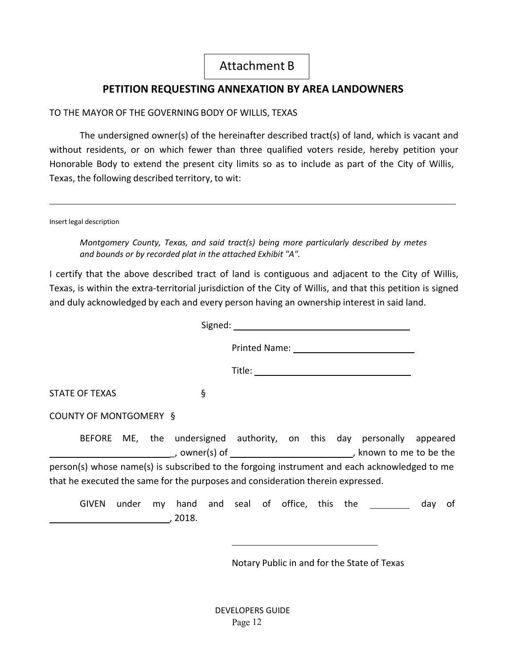## Attachment B

## **PETITION REQUESTING ANNEXATION BY AREA LANDOWNERS**

### TO THE MAYOR OF THE GOVERNING BODY OF WILLIS, TEXAS

The undersigned owner(s) of the hereinafter described tract(s) of land, which is vacant and without residents, or on which fewer than three qualified voters reside, hereby petition your Honorable Body to extend the present city limits so as to include as part of the City of Willis, Texas, the following described territory, to wit:

Insert legal description

*Montgomery County, Texas, and said tract(s) being more particularly described by metes and bounds or by recorded plat in the attached Exhibit "A".*

I certify that the above described tract of land is contiguous and adjacent to the City of Willis, Texas, is within the extra-territorial jurisdiction of the City of Willis, and that this petition is signed and duly acknowledged by each and every person having an ownership interest in said land.

| STATE OF TEXAS<br>ş            |                                                                                              |           |
|--------------------------------|----------------------------------------------------------------------------------------------|-----------|
| COUNTY OF MONTGOMERY §         |                                                                                              |           |
|                                | BEFORE ME, the undersigned authority, on this day personally appeared                        |           |
|                                | person(s) whose name(s) is subscribed to the forgoing instrument and each acknowledged to me |           |
|                                | that he executed the same for the purposes and consideration therein expressed.              |           |
| <b>GIVEN</b><br>under<br>2018. | my hand and seal of office, this the                                                         | day<br>0t |

Notary Public in and for the State of Texas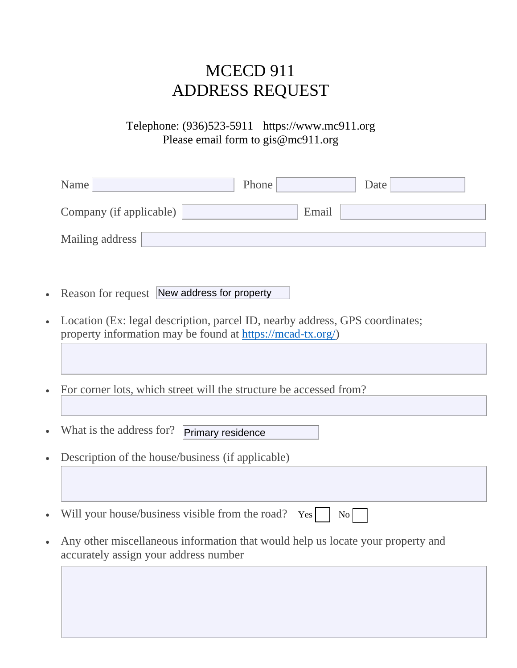# MCECD 911 ADDRESS REQUEST

## Telephone: (936)523-5911 https://www.mc911.org Please email form to gis@mc911.org

|           | Name<br>Phone<br>Date                                                                                                                      |  |  |  |  |  |  |
|-----------|--------------------------------------------------------------------------------------------------------------------------------------------|--|--|--|--|--|--|
|           | Company (if applicable)<br>Email                                                                                                           |  |  |  |  |  |  |
|           | Mailing address                                                                                                                            |  |  |  |  |  |  |
|           |                                                                                                                                            |  |  |  |  |  |  |
| $\bullet$ | Reason for request New address for property                                                                                                |  |  |  |  |  |  |
| $\bullet$ | Location (Ex: legal description, parcel ID, nearby address, GPS coordinates;<br>property information may be found at https://mcad-tx.org/) |  |  |  |  |  |  |
|           |                                                                                                                                            |  |  |  |  |  |  |
| $\bullet$ | For corner lots, which street will the structure be accessed from?                                                                         |  |  |  |  |  |  |
|           |                                                                                                                                            |  |  |  |  |  |  |
|           | What is the address for?<br>Primary residence                                                                                              |  |  |  |  |  |  |
|           | Description of the house/business (if applicable)                                                                                          |  |  |  |  |  |  |
|           |                                                                                                                                            |  |  |  |  |  |  |
|           | Will your house/business visible from the road?<br>Yes<br>No                                                                               |  |  |  |  |  |  |
| $\bullet$ | Any other miscellaneous information that would help us locate your property and<br>accurately assign your address number                   |  |  |  |  |  |  |
|           |                                                                                                                                            |  |  |  |  |  |  |
|           |                                                                                                                                            |  |  |  |  |  |  |